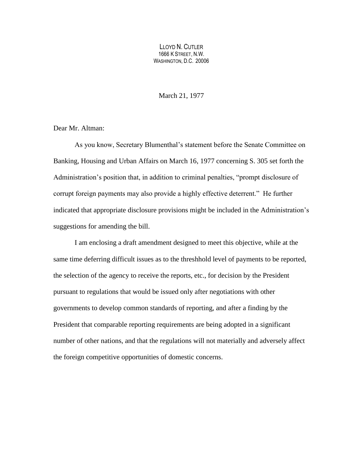LLOYD N. CUTLER 1666 K STREET, N.W. WASHINGTON, D.C. 20006

March 21, 1977

Dear Mr. Altman:

As you know, Secretary Blumenthal's statement before the Senate Committee on Banking, Housing and Urban Affairs on March 16, 1977 concerning S. 305 set forth the Administration's position that, in addition to criminal penalties, "prompt disclosure of corrupt foreign payments may also provide a highly effective deterrent." He further indicated that appropriate disclosure provisions might be included in the Administration's suggestions for amending the bill.

I am enclosing a draft amendment designed to meet this objective, while at the same time deferring difficult issues as to the threshhold level of payments to be reported, the selection of the agency to receive the reports, etc., for decision by the President pursuant to regulations that would be issued only after negotiations with other governments to develop common standards of reporting, and after a finding by the President that comparable reporting requirements are being adopted in a significant number of other nations, and that the regulations will not materially and adversely affect the foreign competitive opportunities of domestic concerns.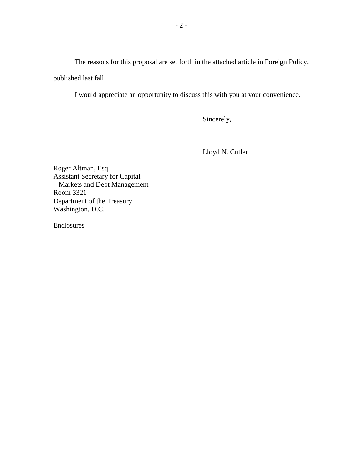The reasons for this proposal are set forth in the attached article in Foreign Policy, published last fall.

I would appreciate an opportunity to discuss this with you at your convenience.

Sincerely,

Lloyd N. Cutler

Roger Altman, Esq. Assistant Secretary for Capital Markets and Debt Management Room 3321 Department of the Treasury Washington, D.C.

Enclosures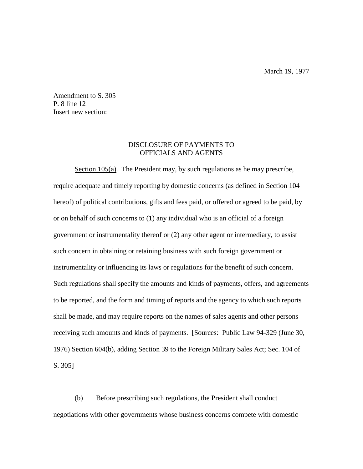Amendment to S. 305 P. 8 line 12 Insert new section:

## DISCLOSURE OF PAYMENTS TO OFFICIALS AND AGENTS

Section 105(a). The President may, by such regulations as he may prescribe, require adequate and timely reporting by domestic concerns (as defined in Section 104 hereof) of political contributions, gifts and fees paid, or offered or agreed to be paid, by or on behalf of such concerns to (1) any individual who is an official of a foreign government or instrumentality thereof or (2) any other agent or intermediary, to assist such concern in obtaining or retaining business with such foreign government or instrumentality or influencing its laws or regulations for the benefit of such concern. Such regulations shall specify the amounts and kinds of payments, offers, and agreements to be reported, and the form and timing of reports and the agency to which such reports shall be made, and may require reports on the names of sales agents and other persons receiving such amounts and kinds of payments. [Sources: Public Law 94-329 (June 30, 1976) Section 604(b), adding Section 39 to the Foreign Military Sales Act; Sec. 104 of S. 305]

(b) Before prescribing such regulations, the President shall conduct negotiations with other governments whose business concerns compete with domestic